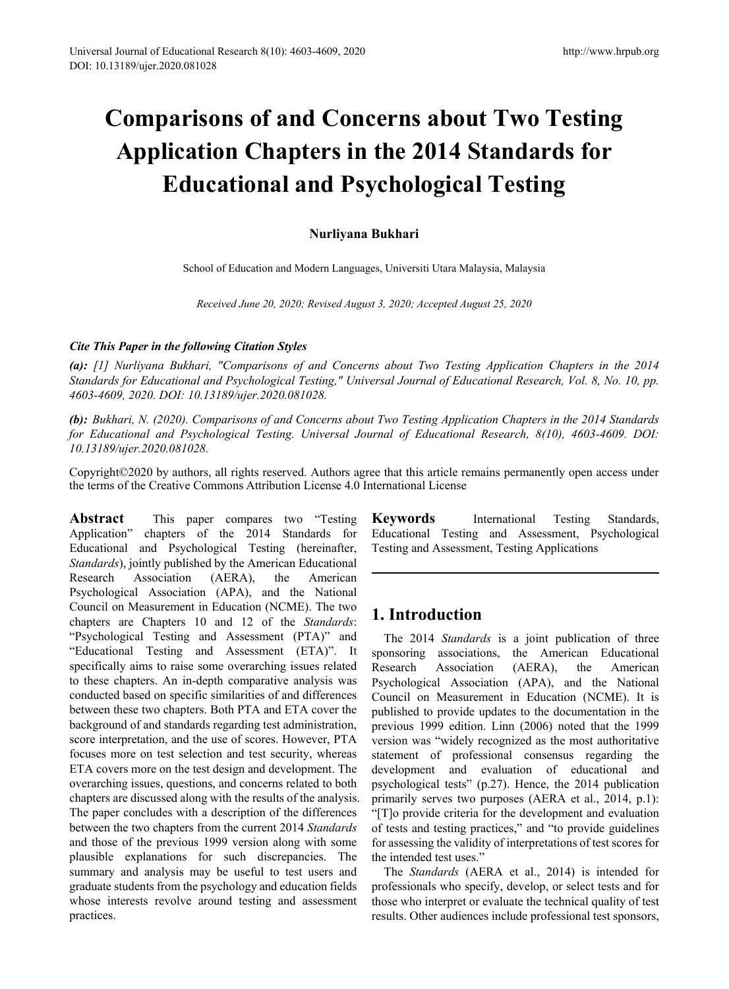# **Comparisons of and Concerns about Two Testing Application Chapters in the 2014 Standards for Educational and Psychological Testing**

## **Nurliyana Bukhari**

School of Education and Modern Languages, Universiti Utara Malaysia, Malaysia

*Received June 20, 2020; Revised August 3, 2020; Accepted August 25, 2020*

## *Cite This Paper in the following Citation Styles*

*(a): [1] Nurliyana Bukhari, "Comparisons of and Concerns about Two Testing Application Chapters in the 2014 Standards for Educational and Psychological Testing," Universal Journal of Educational Research, Vol. 8, No. 10, pp. 4603-4609, 2020. DOI: 10.13189/ujer.2020.081028.* 

*(b): Bukhari, N. (2020). Comparisons of and Concerns about Two Testing Application Chapters in the 2014 Standards for Educational and Psychological Testing. Universal Journal of Educational Research, 8(10), 4603-4609. DOI: 10.13189/ujer.2020.081028.* 

Copyright©2020 by authors, all rights reserved. Authors agree that this article remains permanently open access under the terms of the Creative Commons Attribution License 4.0 International License

**Abstract** This paper compares two "Testing Application" chapters of the 2014 Standards for Educational and Psychological Testing (hereinafter, *Standards*), jointly published by the American Educational Research Association (AERA), the American Psychological Association (APA), and the National Council on Measurement in Education (NCME). The two chapters are Chapters 10 and 12 of the *Standards*: "Psychological Testing and Assessment (PTA)" and "Educational Testing and Assessment (ETA)". It specifically aims to raise some overarching issues related to these chapters. An in-depth comparative analysis was conducted based on specific similarities of and differences between these two chapters. Both PTA and ETA cover the background of and standards regarding test administration, score interpretation, and the use of scores. However, PTA focuses more on test selection and test security, whereas ETA covers more on the test design and development. The overarching issues, questions, and concerns related to both chapters are discussed along with the results of the analysis. The paper concludes with a description of the differences between the two chapters from the current 2014 *Standards* and those of the previous 1999 version along with some plausible explanations for such discrepancies. The summary and analysis may be useful to test users and graduate students from the psychology and education fields whose interests revolve around testing and assessment practices.

**Keywords** International Testing Standards, Educational Testing and Assessment, Psychological Testing and Assessment, Testing Applications

# **1. Introduction**

The 2014 *Standards* is a joint publication of three sponsoring associations, the American Educational Research Association (AERA), the American Psychological Association (APA), and the National Council on Measurement in Education (NCME). It is published to provide updates to the documentation in the previous 1999 edition. Linn (2006) noted that the 1999 version was "widely recognized as the most authoritative statement of professional consensus regarding the development and evaluation of educational and psychological tests" (p.27). Hence, the 2014 publication primarily serves two purposes (AERA et al., 2014, p.1): "[T]o provide criteria for the development and evaluation of tests and testing practices," and "to provide guidelines for assessing the validity of interpretations of test scores for the intended test uses."

The *Standards* (AERA et al., 2014) is intended for professionals who specify, develop, or select tests and for those who interpret or evaluate the technical quality of test results. Other audiences include professional test sponsors,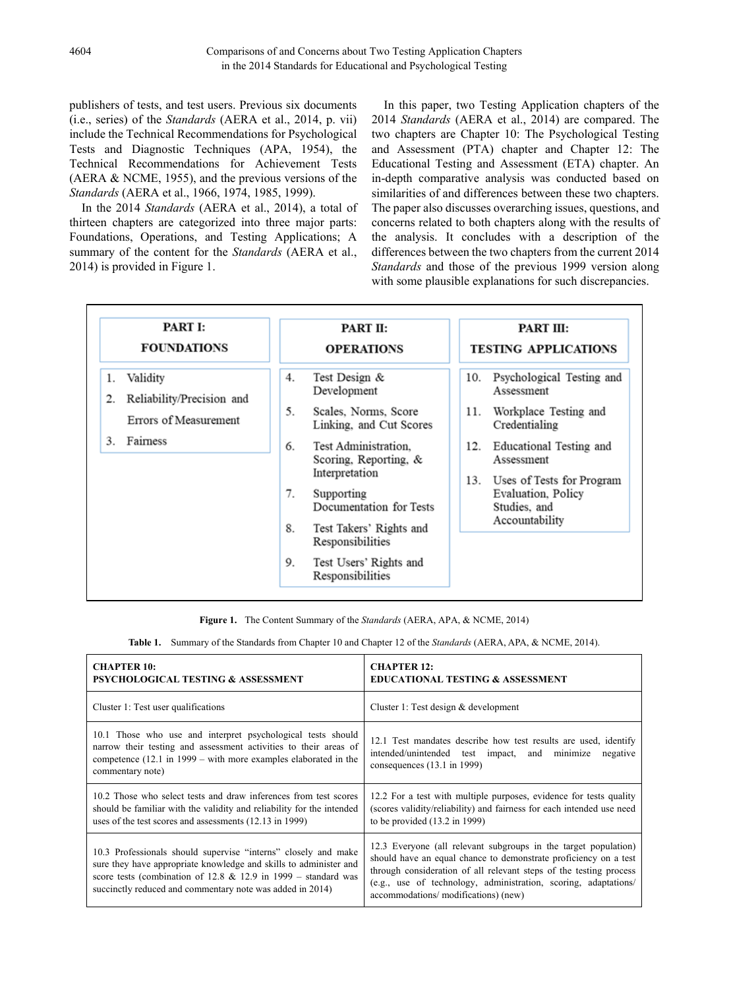publishers of tests, and test users. Previous six documents (i.e., series) of the *Standards* (AERA et al., 2014, p. vii) include the Technical Recommendations for Psychological Tests and Diagnostic Techniques (APA, 1954), the Technical Recommendations for Achievement Tests (AERA & NCME, 1955), and the previous versions of the *Standards* (AERA et al., 1966, 1974, 1985, 1999).

In the 2014 *Standards* (AERA et al., 2014), a total of thirteen chapters are categorized into three major parts: Foundations, Operations, and Testing Applications; A summary of the content for the *Standards* (AERA et al., 2014) is provided in Figure 1.

In this paper, two Testing Application chapters of the 2014 *Standards* (AERA et al., 2014) are compared. The two chapters are Chapter 10: The Psychological Testing and Assessment (PTA) chapter and Chapter 12: The Educational Testing and Assessment (ETA) chapter. An in-depth comparative analysis was conducted based on similarities of and differences between these two chapters. The paper also discusses overarching issues, questions, and concerns related to both chapters along with the results of the analysis. It concludes with a description of the differences between the two chapters from the current 2014 *Standards* and those of the previous 1999 version along with some plausible explanations for such discrepancies.

| <b>PART I:</b>                                                                            | PART II:                                                                                                                                                                                                                                                                                                                     | PART III:                                                                                                                                                                                                                                   |
|-------------------------------------------------------------------------------------------|------------------------------------------------------------------------------------------------------------------------------------------------------------------------------------------------------------------------------------------------------------------------------------------------------------------------------|---------------------------------------------------------------------------------------------------------------------------------------------------------------------------------------------------------------------------------------------|
| <b>FOUNDATIONS</b>                                                                        | <b>OPERATIONS</b>                                                                                                                                                                                                                                                                                                            | <b>TESTING APPLICATIONS</b>                                                                                                                                                                                                                 |
| 1. Validity<br>Reliability/Precision and<br>2.<br>Errors of Measurement<br>Fairness<br>3. | Test Design &<br>4.<br>Development<br>5.<br>Scales, Norms, Score<br>Linking, and Cut Scores<br>Test Administration,<br>6.<br>Scoring, Reporting, &<br>Interpretation<br>7.<br>Supporting<br>Documentation for Tests<br>8.<br>Test Takers' Rights and<br>Responsibilities<br>Test Users' Rights and<br>9.<br>Responsibilities | Psychological Testing and<br>10.<br>Assessment<br>Workplace Testing and<br>11.<br>Credentialing<br>Educational Testing and<br>12.<br>Assessment<br>13.<br>Uses of Tests for Program<br>Evaluation, Policy<br>Studies, and<br>Accountability |

**Figure 1.** The Content Summary of the *Standards* (AERA, APA, & NCME, 2014)

**Table 1.** Summary of the Standards from Chapter 10 and Chapter 12 of the *Standards* (AERA, APA, & NCME, 2014).

| <b>CHAPTER 10:</b>                                                                                                                                                                                                                                                   | <b>CHAPTER 12:</b>                                                                                                                                                                                                                                                                                                  |
|----------------------------------------------------------------------------------------------------------------------------------------------------------------------------------------------------------------------------------------------------------------------|---------------------------------------------------------------------------------------------------------------------------------------------------------------------------------------------------------------------------------------------------------------------------------------------------------------------|
| <b>PSYCHOLOGICAL TESTING &amp; ASSESSMENT</b>                                                                                                                                                                                                                        | <b>EDUCATIONAL TESTING &amp; ASSESSMENT</b>                                                                                                                                                                                                                                                                         |
| Cluster 1: Test user qualifications                                                                                                                                                                                                                                  | Cluster 1: Test design $&$ development                                                                                                                                                                                                                                                                              |
| 10.1 Those who use and interpret psychological tests should                                                                                                                                                                                                          | 12.1 Test mandates describe how test results are used, identify                                                                                                                                                                                                                                                     |
| narrow their testing and assessment activities to their areas of                                                                                                                                                                                                     | intended/unintended test impact, and minimize                                                                                                                                                                                                                                                                       |
| competence $(12.1 \text{ in } 1999 - \text{with more examples elaborated in the})$                                                                                                                                                                                   | negative                                                                                                                                                                                                                                                                                                            |
| commentary note)                                                                                                                                                                                                                                                     | consequences $(13.1 \text{ in } 1999)$                                                                                                                                                                                                                                                                              |
| 10.2 Those who select tests and draw inferences from test scores                                                                                                                                                                                                     | 12.2 For a test with multiple purposes, evidence for tests quality                                                                                                                                                                                                                                                  |
| should be familiar with the validity and reliability for the intended                                                                                                                                                                                                | (scores validity/reliability) and fairness for each intended use need                                                                                                                                                                                                                                               |
| uses of the test scores and assessments (12.13 in 1999)                                                                                                                                                                                                              | to be provided $(13.2 \text{ in } 1999)$                                                                                                                                                                                                                                                                            |
| 10.3 Professionals should supervise "interns" closely and make<br>sure they have appropriate knowledge and skills to administer and<br>score tests (combination of 12.8 $&$ 12.9 in 1999 – standard was<br>succinctly reduced and commentary note was added in 2014) | 12.3 Everyone (all relevant subgroups in the target population)<br>should have an equal chance to demonstrate proficiency on a test<br>through consideration of all relevant steps of the testing process<br>(e.g., use of technology, administration, scoring, adaptations/<br>accommodations/modifications) (new) |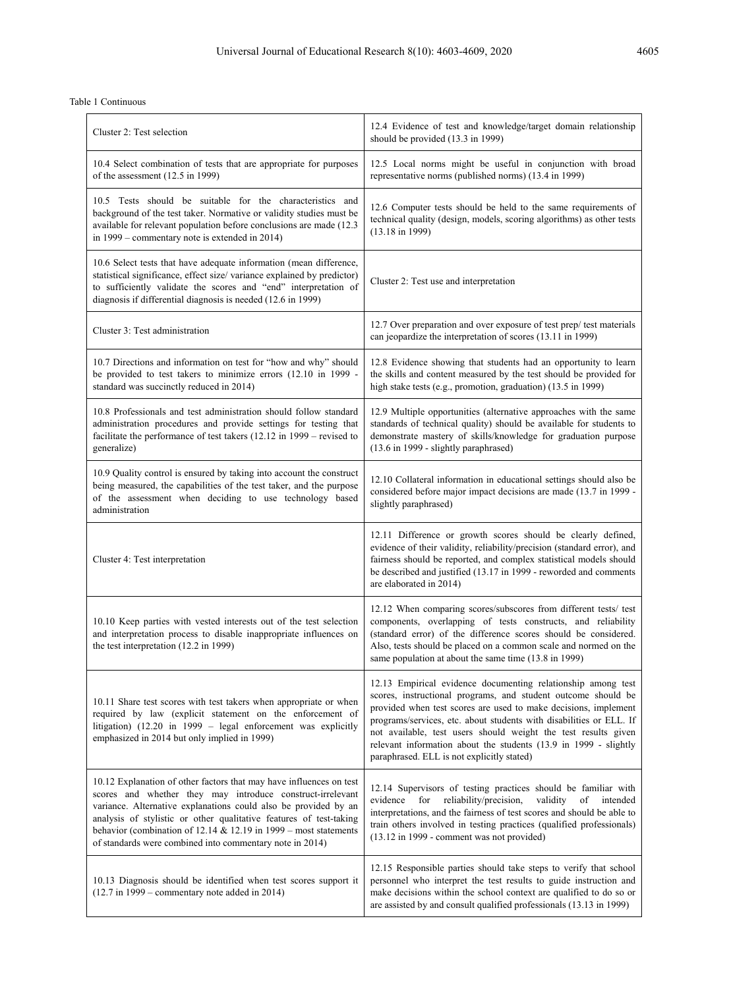#### Table 1 Continuous

| Cluster 2: Test selection                                                                                                                                                                                                                                                                                                                                                                                  | 12.4 Evidence of test and knowledge/target domain relationship<br>should be provided (13.3 in 1999)                                                                                                                                                                                                                                                                                                                                                         |
|------------------------------------------------------------------------------------------------------------------------------------------------------------------------------------------------------------------------------------------------------------------------------------------------------------------------------------------------------------------------------------------------------------|-------------------------------------------------------------------------------------------------------------------------------------------------------------------------------------------------------------------------------------------------------------------------------------------------------------------------------------------------------------------------------------------------------------------------------------------------------------|
| 10.4 Select combination of tests that are appropriate for purposes<br>of the assessment (12.5 in 1999)                                                                                                                                                                                                                                                                                                     | 12.5 Local norms might be useful in conjunction with broad<br>representative norms (published norms) (13.4 in 1999)                                                                                                                                                                                                                                                                                                                                         |
| 10.5 Tests should be suitable for the characteristics and<br>background of the test taker. Normative or validity studies must be<br>available for relevant population before conclusions are made (12.3)<br>in 1999 – commentary note is extended in 2014)                                                                                                                                                 | 12.6 Computer tests should be held to the same requirements of<br>technical quality (design, models, scoring algorithms) as other tests<br>$(13.18 \text{ in } 1999)$                                                                                                                                                                                                                                                                                       |
| 10.6 Select tests that have adequate information (mean difference,<br>statistical significance, effect size/variance explained by predictor)<br>to sufficiently validate the scores and "end" interpretation of<br>diagnosis if differential diagnosis is needed (12.6 in 1999)                                                                                                                            | Cluster 2: Test use and interpretation                                                                                                                                                                                                                                                                                                                                                                                                                      |
| Cluster 3: Test administration                                                                                                                                                                                                                                                                                                                                                                             | 12.7 Over preparation and over exposure of test prep/ test materials<br>can jeopardize the interpretation of scores (13.11 in 1999)                                                                                                                                                                                                                                                                                                                         |
| 10.7 Directions and information on test for "how and why" should<br>be provided to test takers to minimize errors (12.10 in 1999 -<br>standard was succinctly reduced in 2014)                                                                                                                                                                                                                             | 12.8 Evidence showing that students had an opportunity to learn<br>the skills and content measured by the test should be provided for<br>high stake tests (e.g., promotion, graduation) (13.5 in 1999)                                                                                                                                                                                                                                                      |
| 10.8 Professionals and test administration should follow standard<br>administration procedures and provide settings for testing that<br>facilitate the performance of test takers (12.12 in 1999 – revised to<br>generalize)                                                                                                                                                                               | 12.9 Multiple opportunities (alternative approaches with the same<br>standards of technical quality) should be available for students to<br>demonstrate mastery of skills/knowledge for graduation purpose<br>(13.6 in 1999 - slightly paraphrased)                                                                                                                                                                                                         |
| 10.9 Quality control is ensured by taking into account the construct<br>being measured, the capabilities of the test taker, and the purpose<br>of the assessment when deciding to use technology based<br>administration                                                                                                                                                                                   | 12.10 Collateral information in educational settings should also be<br>considered before major impact decisions are made (13.7 in 1999 -<br>slightly paraphrased)                                                                                                                                                                                                                                                                                           |
| Cluster 4: Test interpretation                                                                                                                                                                                                                                                                                                                                                                             | 12.11 Difference or growth scores should be clearly defined,<br>evidence of their validity, reliability/precision (standard error), and<br>fairness should be reported, and complex statistical models should<br>be described and justified (13.17 in 1999 - reworded and comments<br>are elaborated in 2014)                                                                                                                                               |
| 10.10 Keep parties with vested interests out of the test selection<br>and interpretation process to disable inappropriate influences on<br>the test interpretation (12.2 in 1999)                                                                                                                                                                                                                          | 12.12 When comparing scores/subscores from different tests/ test<br>components, overlapping of tests constructs, and reliability<br>(standard error) of the difference scores should be considered.<br>Also, tests should be placed on a common scale and normed on the<br>same population at about the same time (13.8 in 1999)                                                                                                                            |
| 10.11 Share test scores with test takers when appropriate or when<br>required by law (explicit statement on the enforcement of<br>litigation) (12.20 in 1999 - legal enforcement was explicitly<br>emphasized in 2014 but only implied in 1999)                                                                                                                                                            | 12.13 Empirical evidence documenting relationship among test<br>scores, instructional programs, and student outcome should be<br>provided when test scores are used to make decisions, implement<br>programs/services, etc. about students with disabilities or ELL. If<br>not available, test users should weight the test results given<br>relevant information about the students (13.9 in 1999 - slightly<br>paraphrased. ELL is not explicitly stated) |
| 10.12 Explanation of other factors that may have influences on test<br>scores and whether they may introduce construct-irrelevant<br>variance. Alternative explanations could also be provided by an<br>analysis of stylistic or other qualitative features of test-taking<br>behavior (combination of 12.14 & 12.19 in 1999 – most statements<br>of standards were combined into commentary note in 2014) | 12.14 Supervisors of testing practices should be familiar with<br>for<br>reliability/precision,<br>validity<br>evidence<br>of<br>intended<br>interpretations, and the fairness of test scores and should be able to<br>train others involved in testing practices (qualified professionals)<br>(13.12 in 1999 - comment was not provided)                                                                                                                   |
| 10.13 Diagnosis should be identified when test scores support it<br>$(12.7 \text{ in } 1999 - \text{commentary note added in } 2014)$                                                                                                                                                                                                                                                                      | 12.15 Responsible parties should take steps to verify that school<br>personnel who interpret the test results to guide instruction and<br>make decisions within the school context are qualified to do so or<br>are assisted by and consult qualified professionals (13.13 in 1999)                                                                                                                                                                         |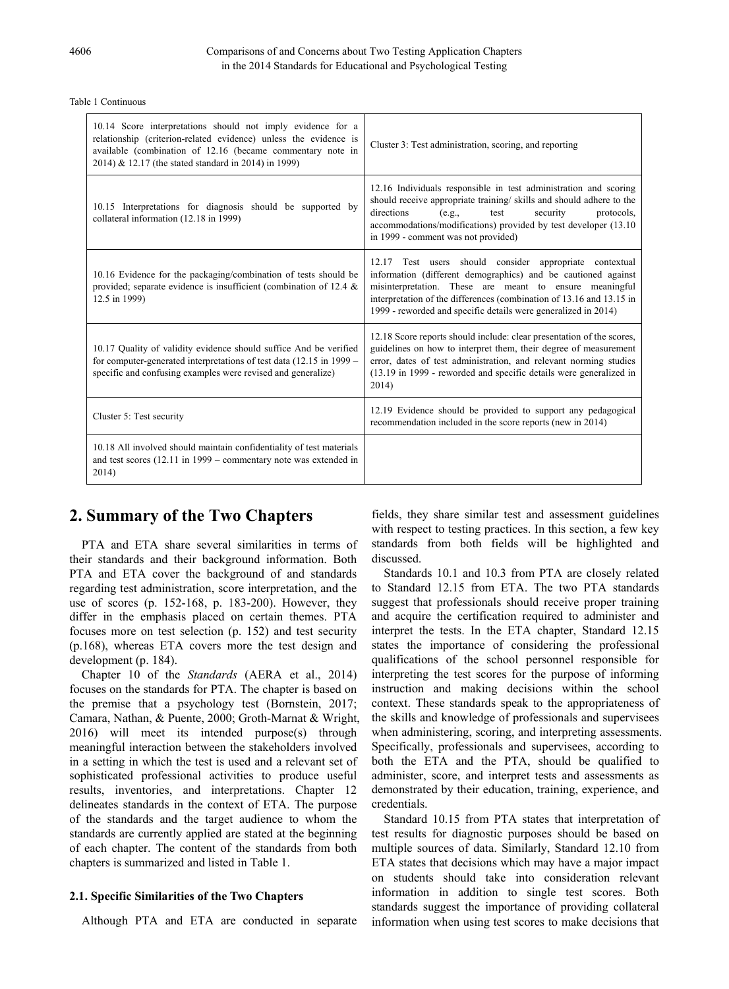| 10.14 Score interpretations should not imply evidence for a<br>relationship (criterion-related evidence) unless the evidence is<br>available (combination of 12.16 (became commentary note in<br>2014) & 12.17 (the stated standard in 2014) in 1999) | Cluster 3: Test administration, scoring, and reporting                                                                                                                                                                                                                                                                        |
|-------------------------------------------------------------------------------------------------------------------------------------------------------------------------------------------------------------------------------------------------------|-------------------------------------------------------------------------------------------------------------------------------------------------------------------------------------------------------------------------------------------------------------------------------------------------------------------------------|
| 10.15 Interpretations for diagnosis should be supported by<br>collateral information (12.18 in 1999)                                                                                                                                                  | 12.16 Individuals responsible in test administration and scoring<br>should receive appropriate training/skills and should adhere to the<br>directions<br>(e.g.,<br>test<br>security<br>protocols,<br>accommodations/modifications) provided by test developer (13.10)<br>in 1999 - comment was not provided)                  |
| 10.16 Evidence for the packaging/combination of tests should be<br>provided; separate evidence is insufficient (combination of 12.4 $\&$<br>12.5 in 1999)                                                                                             | 12.17 Test users should consider appropriate contextual<br>information (different demographics) and be cautioned against<br>misinterpretation. These are meant to ensure meaningful<br>interpretation of the differences (combination of 13.16 and 13.15 in<br>1999 - reworded and specific details were generalized in 2014) |
| 10.17 Quality of validity evidence should suffice And be verified<br>for computer-generated interpretations of test data $(12.15 \text{ in } 1999 -$<br>specific and confusing examples were revised and generalize)                                  | 12.18 Score reports should include: clear presentation of the scores,<br>guidelines on how to interpret them, their degree of measurement<br>error, dates of test administration, and relevant norming studies<br>(13.19 in 1999 - reworded and specific details were generalized in<br>2014)                                 |
| Cluster 5: Test security                                                                                                                                                                                                                              | 12.19 Evidence should be provided to support any pedagogical<br>recommendation included in the score reports (new in 2014)                                                                                                                                                                                                    |
| 10.18 All involved should maintain confidentiality of test materials<br>and test scores $(12.11 \text{ in } 1999 - \text{ commentary note was extended in})$<br>2014)                                                                                 |                                                                                                                                                                                                                                                                                                                               |

#### Table 1 Continuous

# **2. Summary of the Two Chapters**

PTA and ETA share several similarities in terms of their standards and their background information. Both PTA and ETA cover the background of and standards regarding test administration, score interpretation, and the use of scores (p. 152-168, p. 183-200). However, they differ in the emphasis placed on certain themes. PTA focuses more on test selection (p. 152) and test security (p.168), whereas ETA covers more the test design and development (p. 184).

Chapter 10 of the *Standards* (AERA et al., 2014) focuses on the standards for PTA. The chapter is based on the premise that a psychology test (Bornstein, 2017; Camara, Nathan, & Puente, 2000; Groth-Marnat & Wright, 2016) will meet its intended purpose(s) through meaningful interaction between the stakeholders involved in a setting in which the test is used and a relevant set of sophisticated professional activities to produce useful results, inventories, and interpretations. Chapter 12 delineates standards in the context of ETA. The purpose of the standards and the target audience to whom the standards are currently applied are stated at the beginning of each chapter. The content of the standards from both chapters is summarized and listed in Table 1.

## **2.1. Specific Similarities of the Two Chapters**

Although PTA and ETA are conducted in separate

fields, they share similar test and assessment guidelines with respect to testing practices. In this section, a few key standards from both fields will be highlighted and discussed.

Standards 10.1 and 10.3 from PTA are closely related to Standard 12.15 from ETA. The two PTA standards suggest that professionals should receive proper training and acquire the certification required to administer and interpret the tests. In the ETA chapter, Standard 12.15 states the importance of considering the professional qualifications of the school personnel responsible for interpreting the test scores for the purpose of informing instruction and making decisions within the school context. These standards speak to the appropriateness of the skills and knowledge of professionals and supervisees when administering, scoring, and interpreting assessments. Specifically, professionals and supervisees, according to both the ETA and the PTA, should be qualified to administer, score, and interpret tests and assessments as demonstrated by their education, training, experience, and credentials.

Standard 10.15 from PTA states that interpretation of test results for diagnostic purposes should be based on multiple sources of data. Similarly, Standard 12.10 from ETA states that decisions which may have a major impact on students should take into consideration relevant information in addition to single test scores. Both standards suggest the importance of providing collateral information when using test scores to make decisions that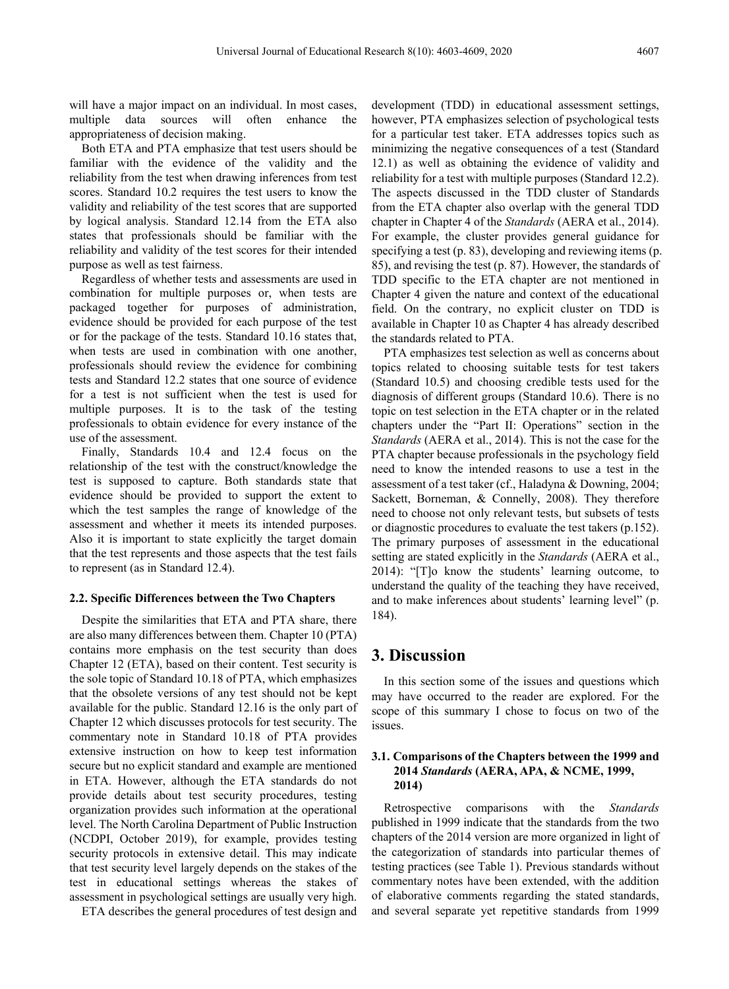will have a major impact on an individual. In most cases, multiple data sources will often enhance the appropriateness of decision making.

Both ETA and PTA emphasize that test users should be familiar with the evidence of the validity and the reliability from the test when drawing inferences from test scores. Standard 10.2 requires the test users to know the validity and reliability of the test scores that are supported by logical analysis. Standard 12.14 from the ETA also states that professionals should be familiar with the reliability and validity of the test scores for their intended purpose as well as test fairness.

Regardless of whether tests and assessments are used in combination for multiple purposes or, when tests are packaged together for purposes of administration, evidence should be provided for each purpose of the test or for the package of the tests. Standard 10.16 states that, when tests are used in combination with one another, professionals should review the evidence for combining tests and Standard 12.2 states that one source of evidence for a test is not sufficient when the test is used for multiple purposes. It is to the task of the testing professionals to obtain evidence for every instance of the use of the assessment.

Finally, Standards 10.4 and 12.4 focus on the relationship of the test with the construct/knowledge the test is supposed to capture. Both standards state that evidence should be provided to support the extent to which the test samples the range of knowledge of the assessment and whether it meets its intended purposes. Also it is important to state explicitly the target domain that the test represents and those aspects that the test fails to represent (as in Standard 12.4).

#### **2.2. Specific Differences between the Two Chapters**

Despite the similarities that ETA and PTA share, there are also many differences between them. Chapter 10 (PTA) contains more emphasis on the test security than does Chapter 12 (ETA), based on their content. Test security is the sole topic of Standard 10.18 of PTA, which emphasizes that the obsolete versions of any test should not be kept available for the public. Standard 12.16 is the only part of Chapter 12 which discusses protocols for test security. The commentary note in Standard 10.18 of PTA provides extensive instruction on how to keep test information secure but no explicit standard and example are mentioned in ETA. However, although the ETA standards do not provide details about test security procedures, testing organization provides such information at the operational level. The North Carolina Department of Public Instruction (NCDPI, October 2019), for example, provides testing security protocols in extensive detail. This may indicate that test security level largely depends on the stakes of the test in educational settings whereas the stakes of assessment in psychological settings are usually very high.

ETA describes the general procedures of test design and

development (TDD) in educational assessment settings, however, PTA emphasizes selection of psychological tests for a particular test taker. ETA addresses topics such as minimizing the negative consequences of a test (Standard 12.1) as well as obtaining the evidence of validity and reliability for a test with multiple purposes (Standard 12.2). The aspects discussed in the TDD cluster of Standards from the ETA chapter also overlap with the general TDD chapter in Chapter 4 of the *Standards* (AERA et al., 2014). For example, the cluster provides general guidance for specifying a test (p. 83), developing and reviewing items (p. 85), and revising the test (p. 87). However, the standards of TDD specific to the ETA chapter are not mentioned in Chapter 4 given the nature and context of the educational field. On the contrary, no explicit cluster on TDD is available in Chapter 10 as Chapter 4 has already described the standards related to PTA.

PTA emphasizes test selection as well as concerns about topics related to choosing suitable tests for test takers (Standard 10.5) and choosing credible tests used for the diagnosis of different groups (Standard 10.6). There is no topic on test selection in the ETA chapter or in the related chapters under the "Part II: Operations" section in the *Standards* (AERA et al., 2014). This is not the case for the PTA chapter because professionals in the psychology field need to know the intended reasons to use a test in the assessment of a test taker (cf., Haladyna & Downing, 2004; Sackett, Borneman, & Connelly, 2008). They therefore need to choose not only relevant tests, but subsets of tests or diagnostic procedures to evaluate the test takers (p.152). The primary purposes of assessment in the educational setting are stated explicitly in the *Standards* (AERA et al., 2014): "[T]o know the students' learning outcome, to understand the quality of the teaching they have received, and to make inferences about students' learning level" (p. 184).

## **3. Discussion**

In this section some of the issues and questions which may have occurred to the reader are explored. For the scope of this summary I chose to focus on two of the issues.

### **3.1. Comparisons of the Chapters between the 1999 and 2014** *Standards* **(AERA, APA, & NCME, 1999, 2014)**

Retrospective comparisons with the *Standards* published in 1999 indicate that the standards from the two chapters of the 2014 version are more organized in light of the categorization of standards into particular themes of testing practices (see Table 1). Previous standards without commentary notes have been extended, with the addition of elaborative comments regarding the stated standards, and several separate yet repetitive standards from 1999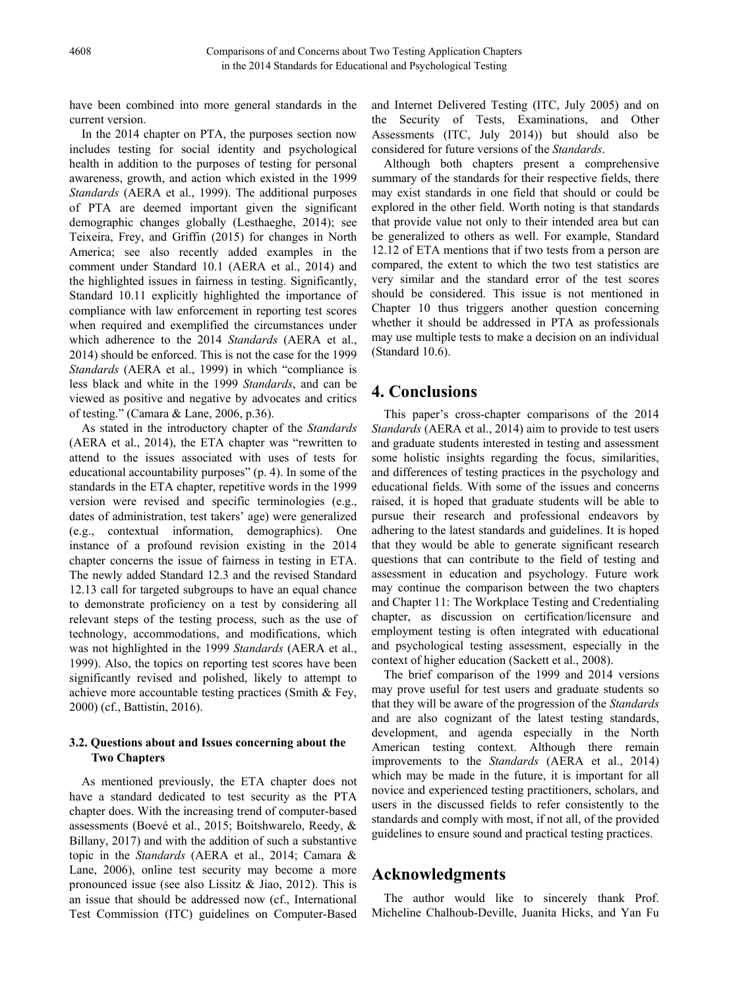have been combined into more general standards in the current version.

In the 2014 chapter on PTA, the purposes section now includes testing for social identity and psychological health in addition to the purposes of testing for personal awareness, growth, and action which existed in the 1999 *Standards* (AERA et al., 1999). The additional purposes of PTA are deemed important given the significant demographic changes globally (Lesthaeghe, 2014); see Teixeira, Frey, and Griffin (2015) for changes in North America; see also recently added examples in the comment under Standard 10.1 (AERA et al., 2014) and the highlighted issues in fairness in testing. Significantly, Standard 10.11 explicitly highlighted the importance of compliance with law enforcement in reporting test scores when required and exemplified the circumstances under which adherence to the 2014 *Standards* (AERA et al., 2014) should be enforced. This is not the case for the 1999 *Standards* (AERA et al., 1999) in which "compliance is less black and white in the 1999 *Standards*, and can be viewed as positive and negative by advocates and critics of testing." (Camara & Lane, 2006, p.36).

As stated in the introductory chapter of the *Standards* (AERA et al., 2014), the ETA chapter was "rewritten to attend to the issues associated with uses of tests for educational accountability purposes" (p. 4). In some of the standards in the ETA chapter, repetitive words in the 1999 version were revised and specific terminologies (e.g., dates of administration, test takers' age) were generalized (e.g., contextual information, demographics). One instance of a profound revision existing in the 2014 chapter concerns the issue of fairness in testing in ETA. The newly added Standard 12.3 and the revised Standard 12.13 call for targeted subgroups to have an equal chance to demonstrate proficiency on a test by considering all relevant steps of the testing process, such as the use of technology, accommodations, and modifications, which was not highlighted in the 1999 *Standards* (AERA et al., 1999). Also, the topics on reporting test scores have been significantly revised and polished, likely to attempt to achieve more accountable testing practices (Smith & Fey, 2000) (cf., Battistin, 2016).

## **3.2. Questions about and Issues concerning about the Two Chapters**

As mentioned previously, the ETA chapter does not have a standard dedicated to test security as the PTA chapter does. With the increasing trend of computer-based assessments (Boevé et al., 2015; Boitshwarelo, Reedy, & Billany, 2017) and with the addition of such a substantive topic in the *Standards* (AERA et al., 2014; Camara & Lane, 2006), online test security may become a more pronounced issue (see also Lissitz & Jiao, 2012). This is an issue that should be addressed now (cf., International Test Commission (ITC) guidelines on Computer-Based and Internet Delivered Testing (ITC, July 2005) and on the Security of Tests, Examinations, and Other Assessments (ITC, July 2014)) but should also be considered for future versions of the *Standards*.

Although both chapters present a comprehensive summary of the standards for their respective fields, there may exist standards in one field that should or could be explored in the other field. Worth noting is that standards that provide value not only to their intended area but can be generalized to others as well. For example, Standard 12.12 of ETA mentions that if two tests from a person are compared, the extent to which the two test statistics are very similar and the standard error of the test scores should be considered. This issue is not mentioned in Chapter 10 thus triggers another question concerning whether it should be addressed in PTA as professionals may use multiple tests to make a decision on an individual (Standard 10.6).

# **4. Conclusions**

This paper's cross-chapter comparisons of the 2014 *Standards* (AERA et al., 2014) aim to provide to test users and graduate students interested in testing and assessment some holistic insights regarding the focus, similarities, and differences of testing practices in the psychology and educational fields. With some of the issues and concerns raised, it is hoped that graduate students will be able to pursue their research and professional endeavors by adhering to the latest standards and guidelines. It is hoped that they would be able to generate significant research questions that can contribute to the field of testing and assessment in education and psychology. Future work may continue the comparison between the two chapters and Chapter 11: The Workplace Testing and Credentialing chapter, as discussion on certification/licensure and employment testing is often integrated with educational and psychological testing assessment, especially in the context of higher education (Sackett et al., 2008).

The brief comparison of the 1999 and 2014 versions may prove useful for test users and graduate students so that they will be aware of the progression of the *Standards* and are also cognizant of the latest testing standards, development, and agenda especially in the North American testing context. Although there remain improvements to the *Standards* (AERA et al., 2014) which may be made in the future, it is important for all novice and experienced testing practitioners, scholars, and users in the discussed fields to refer consistently to the standards and comply with most, if not all, of the provided guidelines to ensure sound and practical testing practices.

# **Acknowledgments**

The author would like to sincerely thank Prof. Micheline Chalhoub-Deville, Juanita Hicks, and Yan Fu